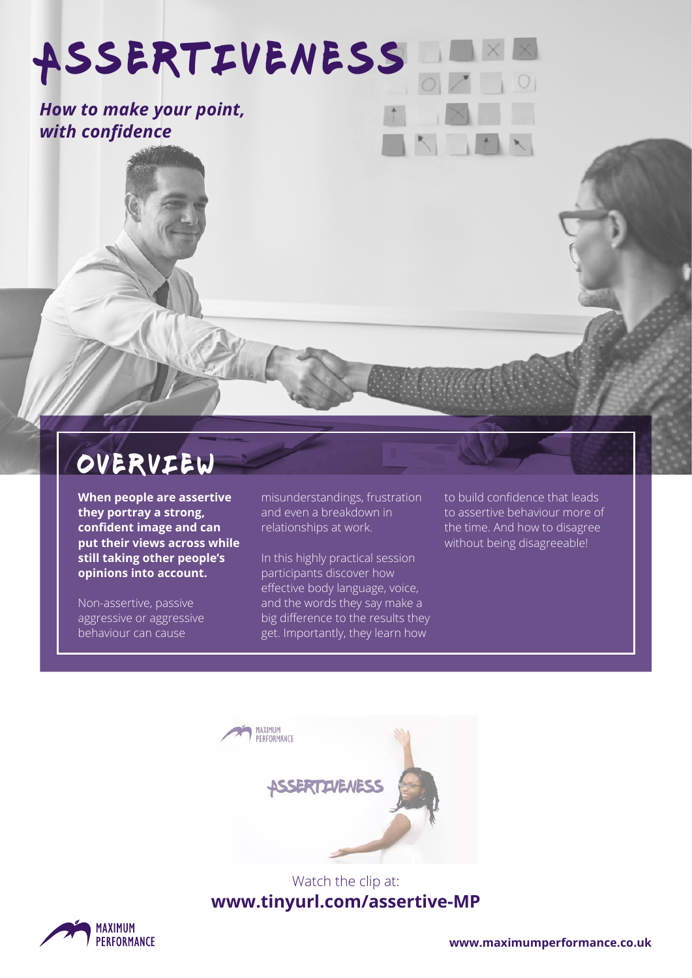Assertiveness

*How to make your point, with confidence*

## overview

**When people are assertive they portray a strong, confident image and can put their views across while still taking other people's opinions into account.**

Non-assertive, passive aggressive or aggressive behaviour can cause

misunderstandings, frustration and even a breakdown in relationships at work.

In this highly practical session participants discover how effective body language, voice, and the words they say make a big difference to the results they get. Importantly, they learn how

to build confidence that leads to assertive behaviour more of the time. And how to disagree without being disagreeable!



### Watch the clip at: **www.tinyurl.com/assertive-MP**